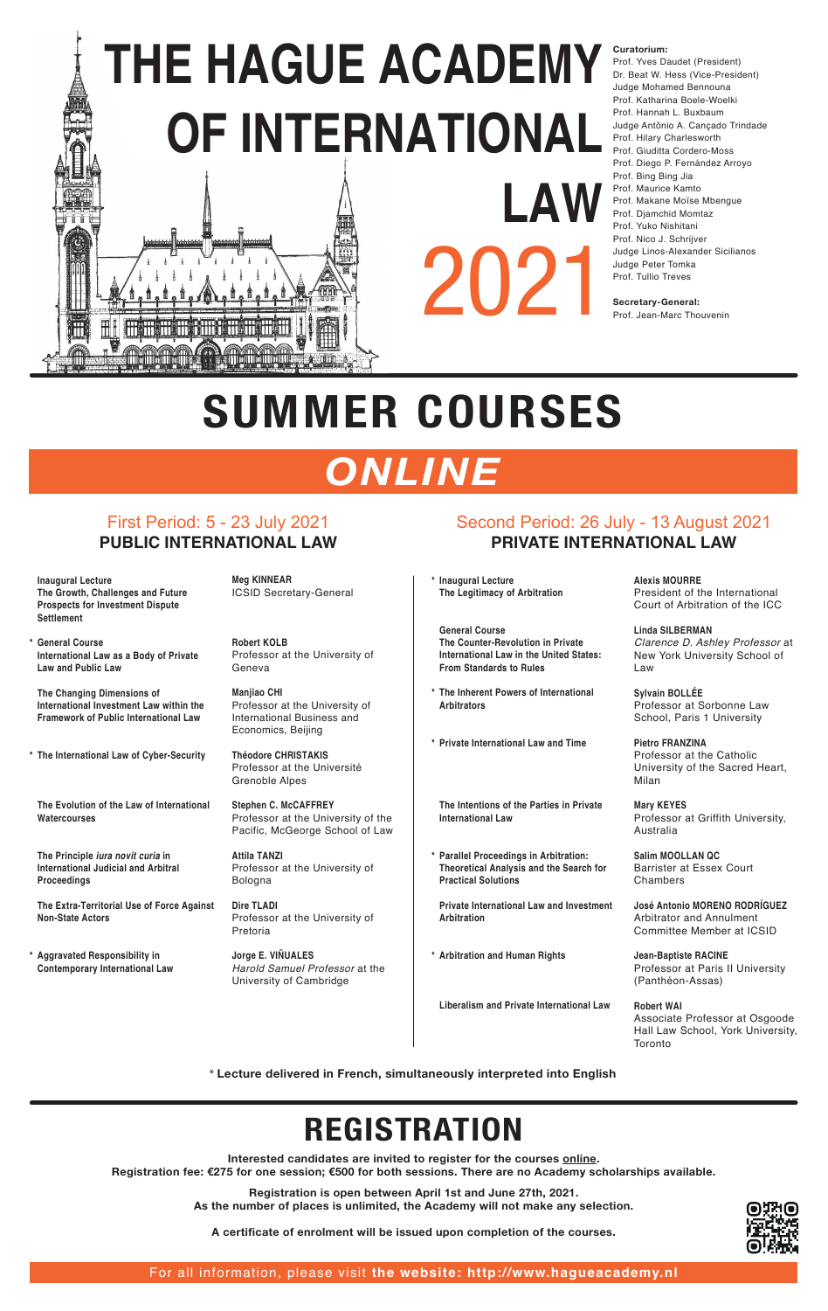#### **Curatorium:**

Prof. Yves Daudet (President) Dr. Beat W. Hess (Vice-President) Judge Mohamed Bennouna Prof. Katharina Boele-Woelki Prof. Hannah L. Buxbaum Judge Antônio A. Cançado Trindade Prof. Hilary Charlesworth Prof. Giuditta Cordero-Moss Prof. Diego P. Fernández Arroyo Prof. Bing Bing Jia Prof. Maurice Kamto Prof. Makane Moïse Mbengue Prof. Djamchid Momtaz Prof. Yuko Nishitani Prof. Nico J. Schrijver Judge Linos-Alexander Sicilianos Judge Peter Tomka Prof. Tullio Treves

# **THE HAGUE ACADEMY THE HAGUE ACADEMY OF INTERNATIONAL OF INTERNATIONAL LAW** 2021 **TEATING THE STILE AND IN**

**Secretary-General:**  Prof. Jean-Marc Thouvenin

### First Period: 5 - 23 July 2021 **PUBLIC INTERNATIONAL LAW**

## Second Period: 26 July - 13 August 2021 **PRIVATE INTERNATIONAL LAW**

 **Inaugural Lecture The Growth, Challenges and Future** 

**\* Inaugural Lecture The Legitimacy of Arbitration**

> **Salim MOOLLAN QC** Barrister at Essex Court **Chambers**

Associate Professor at Osgoode Hall Law School, York University, **Toronto** 

| <b>Prospects for Investment Dispute</b><br><b>Settlement</b>                                                          |                                                                                                          |                                                                                                                                                |
|-----------------------------------------------------------------------------------------------------------------------|----------------------------------------------------------------------------------------------------------|------------------------------------------------------------------------------------------------------------------------------------------------|
| * General Course<br>International Law as a Body of Private<br><b>Law and Public Law</b>                               | <b>Robert KOLB</b><br>Professor at the University of<br>Geneva                                           | <b>General Course</b><br>The Counter-Revolution in Private<br><b>International Law in the United States:</b><br><b>From Standards to Rules</b> |
| The Changing Dimensions of<br>International Investment Law within the<br><b>Framework of Public International Law</b> | <b>Manjiao CHI</b><br>Professor at the University of<br>International Business and<br>Economics, Beijing | * The Inherent Powers of International<br><b>Arbitrators</b>                                                                                   |
| * The International Law of Cyber-Security                                                                             | <b>Théodore CHRISTAKIS</b><br>Professor at the Université<br><b>Grenoble Alpes</b>                       | * Private International Law and Time                                                                                                           |
| The Evolution of the Law of International<br><b>Watercourses</b>                                                      | <b>Stephen C. McCAFFREY</b><br>Professor at the University of the<br>Pacific, McGeorge School of Law     | The Intentions of the Parties in Private<br><b>International Law</b>                                                                           |
| The Principle <i>iura novit curia</i> in<br><b>International Judicial and Arbitral</b><br><b>Proceedings</b>          | <b>Attila TANZI</b><br>Professor at the University of<br><b>Bologna</b>                                  | * Parallel Proceedings in Arbitration:<br><b>Theoretical Analysis and the Search for</b><br><b>Practical Solutions</b>                         |
| The Extra-Territorial Use of Force Against<br><b>Non-State Actors</b>                                                 | <b>Dire TLADI</b><br>Professor at the University of<br>Pretoria                                          | <b>Private International Law and Investment</b><br><b>Arbitration</b>                                                                          |
| * Aggravated Responsibility in<br><b>Contemporary International Law</b>                                               | Jorge E. VIÑUALES<br>Harold Samuel Professor at the<br>University of Cambridge                           | * Arbitration and Human Rights                                                                                                                 |

 **Liberalism and Private International Law**

**Meg KINNEAR**  ICSID Secretary-General **Alexis MOURRE** President of the International Court of Arbitration of the ICC

**Linda SILBERMAN**  Clarence D. Ashley Professor at New York University School of Law

**Sylvain BOLLÉE** Professor at Sorbonne Law School, Paris 1 University

**Pietro FRANZINA**  Professor at the Catholic University of the Sacred Heart, Milan

**Mary KEYES** Professor at Griffith University, Australia

**José Antonio MORENO RODRÍGUEZ** Arbitrator and Annulment Committee Member at ICSID

**Jean-Baptiste RACINE** Professor at Paris II University (Panthéon-Assas)

#### **Robert WAI**



# **SUMMER COURSES**

## *ONLINE*

\* **Lecture delivered in French, simultaneously interpreted into English**

## **REGISTRATION**

**Interested candidates are invited to register for the courses online. Registration fee: €275 for one session; €500 for both sessions. There are no Academy scholarships available.**

> **Registration is open between April 1st and June 27th, 2021. As the number of places is unlimited, the Academy will not make any selection.**

**A certificate of enrolment will be issued upon completion of the courses.**